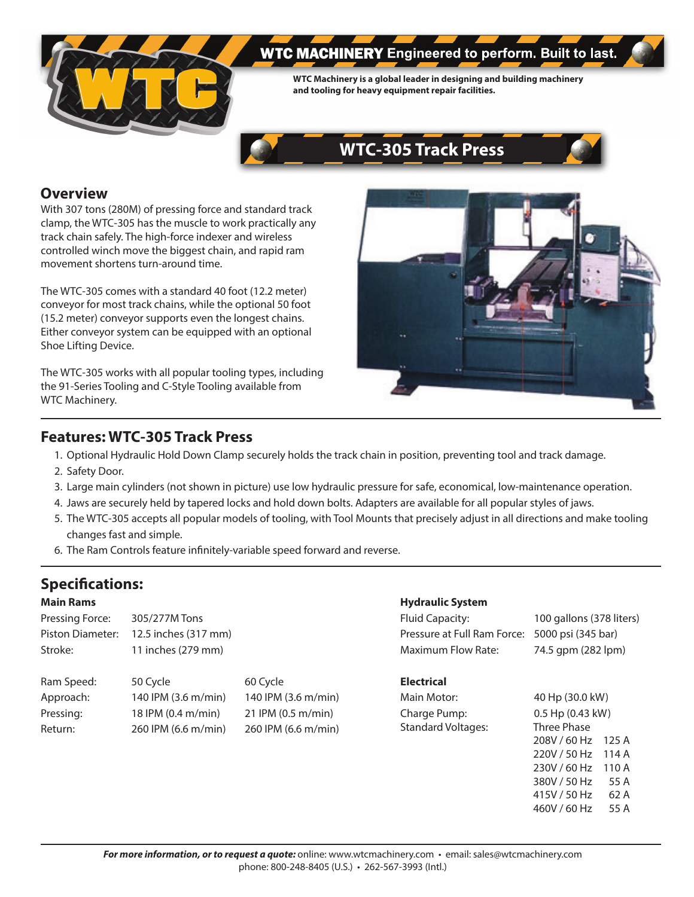

# **WTC MACHINERY** Engineered to perform. Built to last.

**WTC Machinery is a global leader in designing and building machinery and tooling for heavy equipment repair facilities.**



# **Overview**

With 307 tons (280M) of pressing force and standard track clamp, the WTC-305 has the muscle to work practically any track chain safely. The high-force indexer and wireless controlled winch move the biggest chain, and rapid ram movement shortens turn-around time.

The WTC-305 comes with a standard 40 foot (12.2 meter) conveyor for most track chains, while the optional 50 foot (15.2 meter) conveyor supports even the longest chains. Either conveyor system can be equipped with an optional Shoe Lifting Device.

The WTC-305 works with all popular tooling types, including the 91-Series Tooling and C-Style Tooling available from WTC Machinery.



# **Features: WTC-305 Track Press**

- 1. Optional Hydraulic Hold Down Clamp securely holds the track chain in position, preventing tool and track damage.
- 2. Safety Door.
- 3. Large main cylinders (not shown in picture) use low hydraulic pressure for safe, economical, low-maintenance operation.
- 4. Jaws are securely held by tapered locks and hold down bolts. Adapters are available for all popular styles of jaws.
- 5. The WTC-305 accepts all popular models of tooling, with Tool Mounts that precisely adjust in all directions and make tooling changes fast and simple.
- 6. The Ram Controls feature infinitely-variable speed forward and reverse.

# **Specifications:**

# **Main Rams**

| Pressing Force:  | 305/277M Tons        |
|------------------|----------------------|
| Piston Diameter: | 12.5 inches (317 mm) |
| Stroke:          | 11 inches (279 mm)   |

| Ram Speed: | 50 Cycle            | 60 Cycle            |
|------------|---------------------|---------------------|
| Approach:  | 140 IPM (3.6 m/min) | 140 IPM (3.6 m/min) |
| Pressing:  | 18 IPM (0.4 m/min)  | 21 IPM (0.5 m/min)  |
| Return:    | 260 IPM (6.6 m/min) | 260 IPM (6.6 m/min) |

# **Hydraulic System**

| Fluid Capacity:                                | 100 gallons (378 liters) |
|------------------------------------------------|--------------------------|
| Pressure at Full Ram Force: 5000 psi (345 bar) |                          |
| Maximum Flow Rate:                             | 74.5 gpm (282 lpm)       |

# **Electrical**

Main Motor: 40 Hp (30.0 kW) Charge Pump: 0.5 Hp (0.43 kW) Standard Voltages: Three Phase

 208V / 60 Hz 125 A 220V / 50 Hz 114 A 230V / 60 Hz 110 A 380V / 50 Hz 55 A 415V / 50 Hz 62 A 460V / 60 Hz 55 A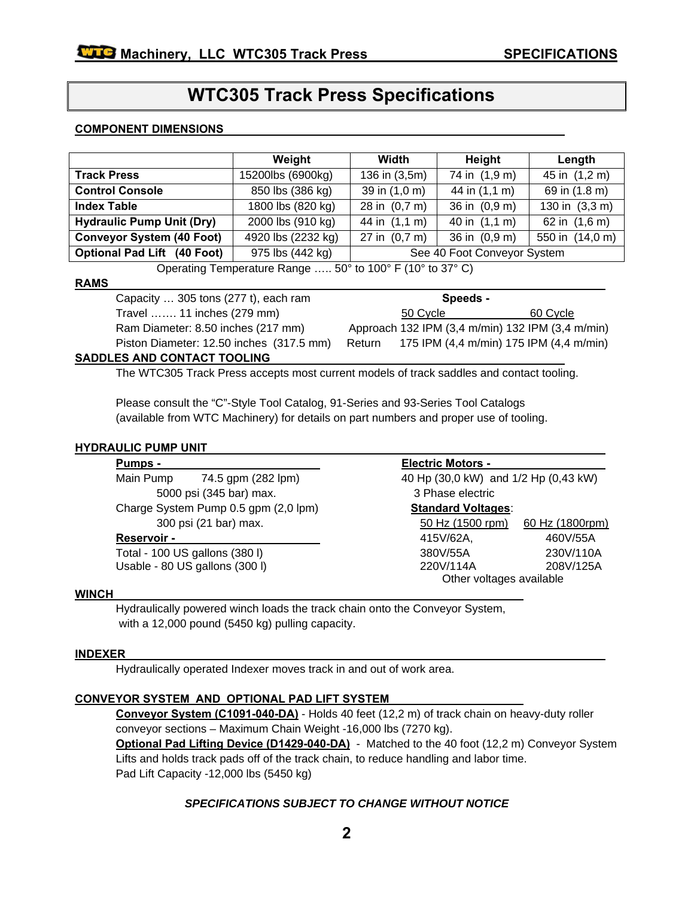# **WTC305 Track Press Specifications**

#### **COMPONENT DIMENSIONS**

|                                    | Weight             | Width                       | Height           | Length                  |
|------------------------------------|--------------------|-----------------------------|------------------|-------------------------|
| <b>Track Press</b>                 | 15200lbs (6900kg)  | 136 in (3,5m)               | 74 in (1,9 m)    | 45 in (1,2 m)           |
| <b>Control Console</b>             | 850 lbs (386 kg)   | 39 in (1,0 m)               | 44 in (1,1 m)    | 69 in (1.8 m)           |
| <b>Index Table</b>                 | 1800 lbs (820 kg)  | 28 in (0,7 m)               | 36 in (0,9 m)    | 130 in $(3,3, m)$       |
| <b>Hydraulic Pump Unit (Dry)</b>   | 2000 lbs (910 kg)  | 44 in (1,1 m)               | 40 in $(1,1, m)$ | 62 in $(1,6 \text{ m})$ |
| <b>Conveyor System (40 Foot)</b>   | 4920 lbs (2232 kg) | 27 in $(0,7, m)$            | 36 in (0,9 m)    | 550 in (14,0 m)         |
| <b>Optional Pad Lift (40 Foot)</b> | 975 lbs (442 kg)   | See 40 Foot Conveyor System |                  |                         |

Operating Temperature Range ….. 50° to 100° F (10° to 37° C)

#### **RAMS**

Capacity ... 305 tons (277 t), each ram **Speeds - Speeds -**Travel ……. 11 inches (279 mm) 50 Cycle 60 Cycle Ram Diameter: 8.50 inches (217 mm) Approach 132 IPM (3,4 m/min) 132 IPM (3,4 m/min) Piston Diameter: 12.50 inches (317.5 mm) Return 175 IPM (4,4 m/min) 175 IPM (4,4 m/min)

#### **SADDLES AND CONTACT TOOLING**

The WTC305 Track Press accepts most current models of track saddles and contact tooling.

Please consult the "C"-Style Tool Catalog, 91-Series and 93-Series Tool Catalogs (available from WTC Machinery) for details on part numbers and proper use of tooling.

#### **HYDRAULIC PUMP UNIT**

| Pumps -     |                                      | <b>Electric Motors -</b>             |                 |  |
|-------------|--------------------------------------|--------------------------------------|-----------------|--|
| Main Pump   | 74.5 gpm (282 lpm)                   | 40 Hp (30,0 kW) and 1/2 Hp (0,43 kW) |                 |  |
|             | 5000 psi (345 bar) max.              | 3 Phase electric                     |                 |  |
|             | Charge System Pump 0.5 gpm (2,0 lpm) | <b>Standard Voltages:</b>            |                 |  |
|             | 300 psi (21 bar) max.                | 50 Hz (1500 rpm)                     | 60 Hz (1800rpm) |  |
| Reservoir - |                                      | 415V/62A,                            | 460V/55A        |  |
|             | Total - 100 US gallons (380 l)       | 380V/55A                             | 230V/110A       |  |
|             | Usable - 80 US gallons (300 l)       | 220V/114A                            | 208V/125A       |  |
|             |                                      | Other voltages available             |                 |  |
|             |                                      |                                      |                 |  |

#### **WINCH**

Hydraulically powered winch loads the track chain onto the Conveyor System, with a 12,000 pound (5450 kg) pulling capacity.

#### **INDEXER**

Hydraulically operated Indexer moves track in and out of work area.

# **CONVEYOR SYSTEM AND OPTIONAL PAD LIFT SYSTEM**

**Conveyor System (C1091-040-DA)** - Holds 40 feet (12,2 m) of track chain on heavy-duty roller conveyor sections – Maximum Chain Weight -16,000 lbs (7270 kg).

**Optional Pad Lifting Device (D1429-040-DA)** - Matched to the 40 foot (12,2 m) Conveyor System Lifts and holds track pads off of the track chain, to reduce handling and labor time. Pad Lift Capacity -12,000 lbs (5450 kg)

# *SPECIFICATIONS SUBJECT TO CHANGE WITHOUT NOTICE*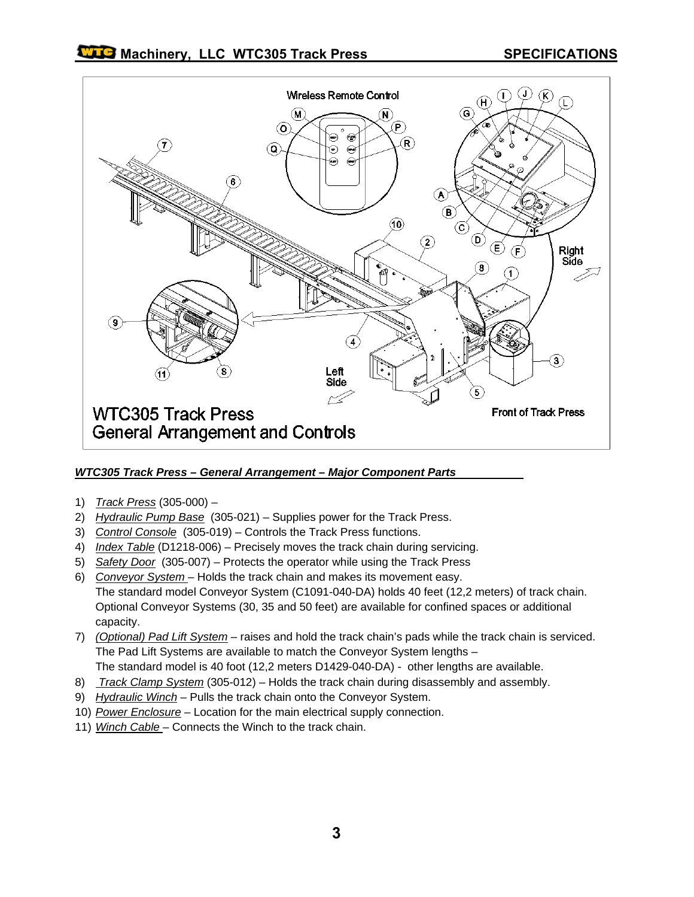

# *WTC305 Track Press – General Arrangement – Major Component Parts*

- 1) *Track Press* (305-000) –
- 2) *Hydraulic Pump Base* (305-021) Supplies power for the Track Press.
- 3) *Control Console* (305-019) Controls the Track Press functions.
- 4) *Index Table* (D1218-006) Precisely moves the track chain during servicing.
- 5) *Safety Door* (305-007) Protects the operator while using the Track Press
- 6) *Conveyor System*  Holds the track chain and makes its movement easy. The standard model Conveyor System (C1091-040-DA) holds 40 feet (12,2 meters) of track chain. Optional Conveyor Systems (30, 35 and 50 feet) are available for confined spaces or additional capacity.
- 7) *(Optional) Pad Lift System* raises and hold the track chain's pads while the track chain is serviced. The Pad Lift Systems are available to match the Conveyor System lengths –
- The standard model is 40 foot (12,2 meters D1429-040-DA) other lengths are available.
- 8) *Track Clamp System* (305-012) Holds the track chain during disassembly and assembly.
- 9) *Hydraulic Winch* Pulls the track chain onto the Conveyor System.
- 10) *Power Enclosure* Location for the main electrical supply connection.
- 11) *Winch Cable*  Connects the Winch to the track chain.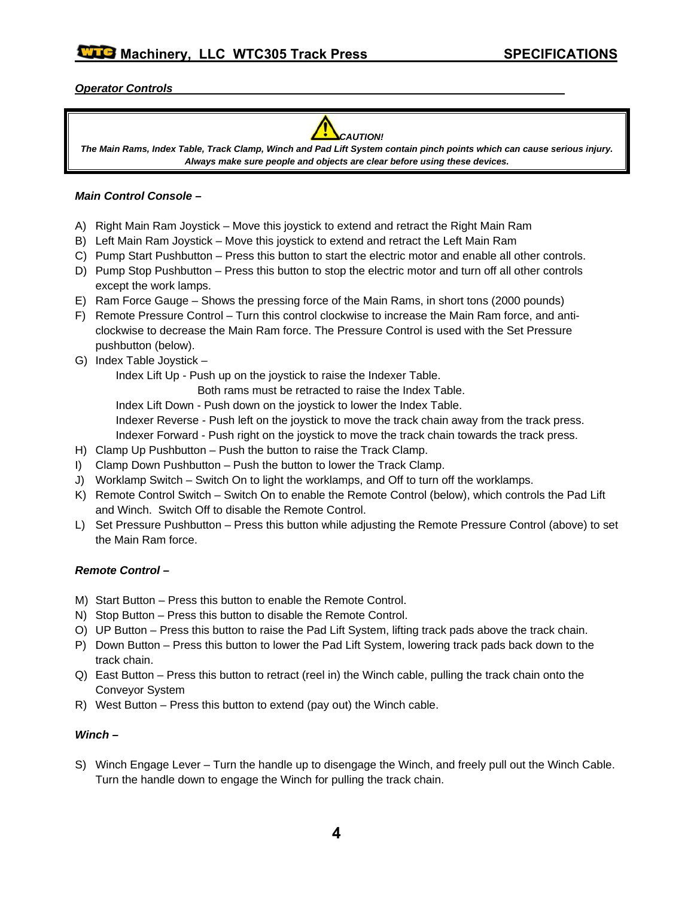# *Operator Controls*



*The Main Rams, Index Table, Track Clamp, Winch and Pad Lift System contain pinch points which can cause serious injury. Always make sure people and objects are clear before using these devices.* 

#### *Main Control Console –*

- A) Right Main Ram Joystick Move this joystick to extend and retract the Right Main Ram
- B) Left Main Ram Joystick Move this joystick to extend and retract the Left Main Ram
- C) Pump Start Pushbutton Press this button to start the electric motor and enable all other controls.
- D) Pump Stop Pushbutton Press this button to stop the electric motor and turn off all other controls except the work lamps.
- E) Ram Force Gauge Shows the pressing force of the Main Rams, in short tons (2000 pounds)
- F) Remote Pressure Control Turn this control clockwise to increase the Main Ram force, and anticlockwise to decrease the Main Ram force. The Pressure Control is used with the Set Pressure pushbutton (below).
- G) Index Table Joystick –

Index Lift Up - Push up on the joystick to raise the Indexer Table.

Both rams must be retracted to raise the Index Table.

Index Lift Down - Push down on the joystick to lower the Index Table.

Indexer Reverse - Push left on the joystick to move the track chain away from the track press.

Indexer Forward - Push right on the joystick to move the track chain towards the track press.

- H) Clamp Up Pushbutton Push the button to raise the Track Clamp.
- I) Clamp Down Pushbutton Push the button to lower the Track Clamp.
- J) Worklamp Switch Switch On to light the worklamps, and Off to turn off the worklamps.
- K) Remote Control Switch Switch On to enable the Remote Control (below), which controls the Pad Lift and Winch. Switch Off to disable the Remote Control.
- L) Set Pressure Pushbutton Press this button while adjusting the Remote Pressure Control (above) to set the Main Ram force.

# *Remote Control –*

- M) Start Button Press this button to enable the Remote Control.
- N) Stop Button Press this button to disable the Remote Control.
- O) UP Button Press this button to raise the Pad Lift System, lifting track pads above the track chain.
- P) Down Button Press this button to lower the Pad Lift System, lowering track pads back down to the track chain.
- Q) East Button Press this button to retract (reel in) the Winch cable, pulling the track chain onto the Conveyor System
- R) West Button Press this button to extend (pay out) the Winch cable.

# *Winch –*

S) Winch Engage Lever – Turn the handle up to disengage the Winch, and freely pull out the Winch Cable. Turn the handle down to engage the Winch for pulling the track chain.